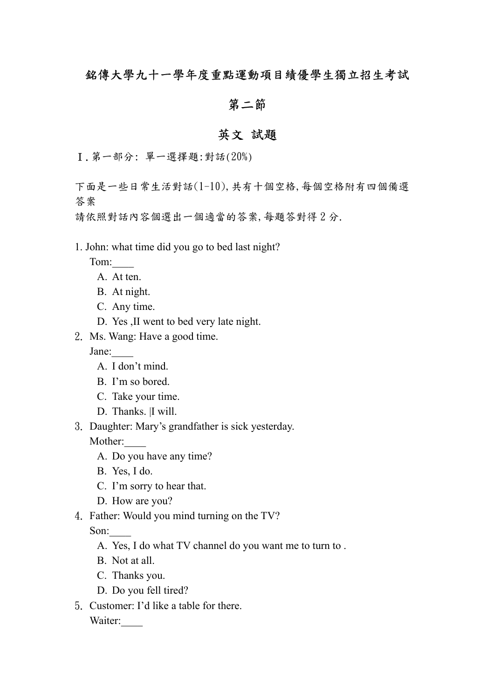## 銘傳大學九十一學年度重點運動項目績優學生獨立招生考試

### 第二節

# 英文 試題

Ⅰ.第一部分: 單一選擇題:對話(20%)

下面是一些日常生活對話(1-10),共有十個空格,每個空格附有四個備選 答案

請依照對話內容個選出一個適當的答案,每題答對得 2 分.

#### 1. John: what time did you go to bed last night?

Tom:\_\_\_\_

- A. At ten.
- B. At night.
- C. Any time.
- D. Yes ,II went to bed very late night.
- 2. Ms. Wang: Have a good time.

Jane:\_\_\_\_

- A. I don't mind.
- B. I'm so bored.
- C. Take your time.
- D. Thanks. |I will.
- 3. Daughter: Mary's grandfather is sick yesterday.

Mother:

- A. Do you have any time?
- B. Yes, I do.
- C. I'm sorry to hear that.
- D. How are you?
- 4. Father: Would you mind turning on the TV?

Son:

- A. Yes, I do what TV channel do you want me to turn to .
- B. Not at all.
- C. Thanks you.
- D. Do you fell tired?
- 5. Customer: I'd like a table for there.

Waiter: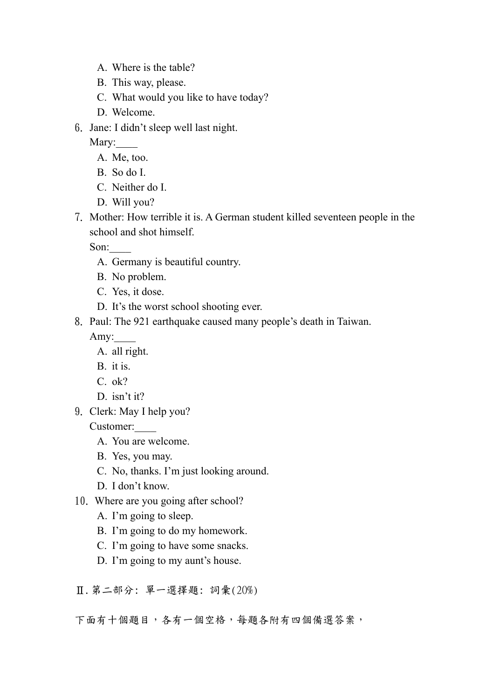- A. Where is the table?
- B. This way, please.
- C. What would you like to have today?
- D. Welcome.
- 6. Jane: I didn't sleep well last night.

Mary:

- A. Me, too.
- B. So do I.
- C. Neither do I.
- D. Will you?
- 7. Mother: How terrible it is. A German student killed seventeen people in the school and shot himself.

Son:\_\_\_\_

- A. Germany is beautiful country.
- B. No problem.
- C. Yes, it dose.
- D. It's the worst school shooting ever.
- 8. Paul: The 921 earthquake caused many people's death in Taiwan.

Amy:

- A. all right.
- B. it is.
- C. ok?
- D. isn't it?
- 9. Clerk: May I help you?

Customer:\_\_\_\_

- A. You are welcome.
- B. Yes, you may.
- C. No, thanks. I'm just looking around.
- D. I don't know.
- 10. Where are you going after school?
	- A. I'm going to sleep.
	- B. I'm going to do my homework.
	- C. I'm going to have some snacks.
	- D. I'm going to my aunt's house.
- Ⅱ.第二部分: 單一選擇題: 詞彙(20%)
- 下面有十個題目,各有一個空格,每題各附有四個備選答案,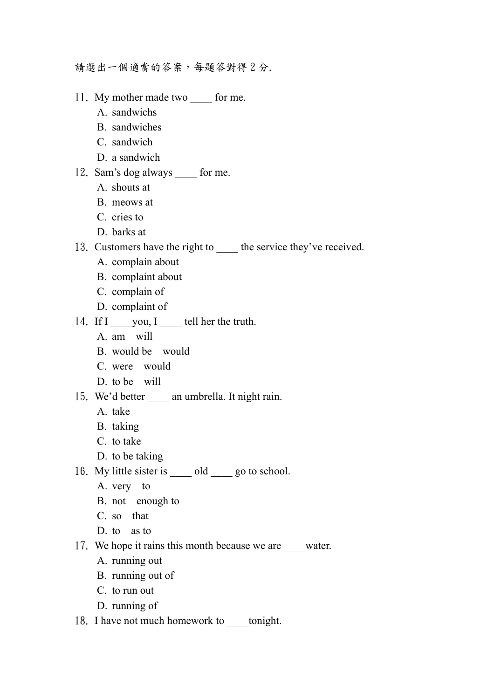請選出一個適當的答案,每題答對得 2 分.

- 11. My mother made two for me.
	- A. sandwichs
	- B. sandwiches
	- C. sandwich
	- D. a sandwich
- 12. Sam's dog always \_\_\_\_ for me.
	- A. shouts at
	- B. meows at
	- C. cries to
	- D. barks at
- 13. Customers have the right to the service they've received.
	- A. complain about
	- B. complaint about
	- C. complain of
	- D. complaint of
- 14. If  $I$  \_\_\_\_ you,  $I$  \_\_\_\_\_ tell her the truth.
	- A. am will
	- B. would be would
	- C. were would
	- D. to be will
- 15. We'd better an umbrella. It night rain.
	- A. take
	- B. taking
	- C. to take
	- D. to be taking
- 16. My little sister is \_\_\_\_\_ old \_\_\_\_ go to school.
	- A. very to
	- B. not enough to
	- C. so that
	- D. to as to
- 17. We hope it rains this month because we are \_\_\_\_water.
	- A. running out
	- B. running out of
	- C. to run out
	- D. running of
- 18. I have not much homework to tonight.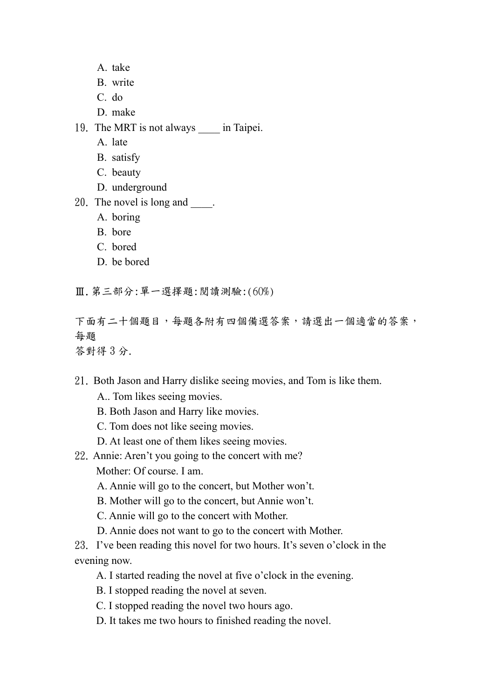- A. take
- B. write
- C. do
- D. make
- 19. The MRT is not always in Taipei.
	- A. late
	- B. satisfy
	- C. beauty
	- D. underground
- 20. The novel is long and  $\qquad$ .
	- A. boring
	- B. bore
	- C. bored
	- D. be bored
- Ⅲ.第三部分:單一選擇題:閱讀測驗:(60%)

下面有二十個題目,每題各附有四個備選答案,請選出一個適當的答案, 每題

答對得 3 分.

- 21. Both Jason and Harry dislike seeing movies, and Tom is like them.
	- A.. Tom likes seeing movies.
	- B. Both Jason and Harry like movies.
	- C. Tom does not like seeing movies.
	- D. At least one of them likes seeing movies.
- 22. Annie: Aren't you going to the concert with me? Mother: Of course. I am.
	- A. Annie will go to the concert, but Mother won't.
	- B. Mother will go to the concert, but Annie won't.
	- C. Annie will go to the concert with Mother.
	- D. Annie does not want to go to the concert with Mother.

23. I've been reading this novel for two hours. It's seven o'clock in the evening now.

- A. I started reading the novel at five o'clock in the evening.
- B. I stopped reading the novel at seven.
- C. I stopped reading the novel two hours ago.
- D. It takes me two hours to finished reading the novel.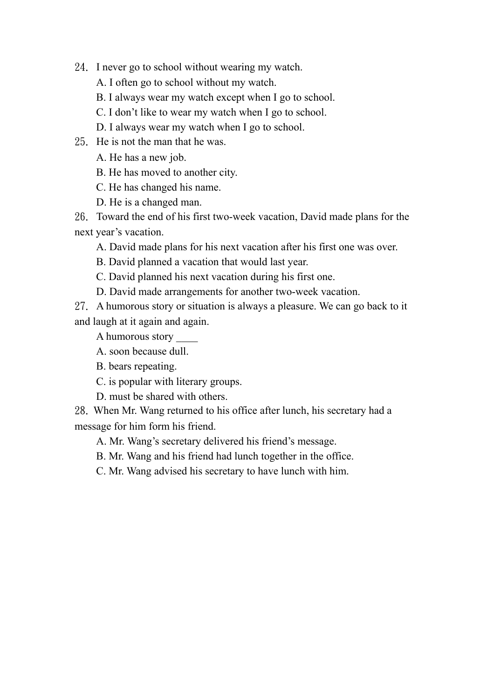24. I never go to school without wearing my watch.

A. I often go to school without my watch.

B. I always wear my watch except when I go to school.

C. I don't like to wear my watch when I go to school.

D. I always wear my watch when I go to school.

25. He is not the man that he was.

A. He has a new job.

B. He has moved to another city.

C. He has changed his name.

D. He is a changed man.

26. Toward the end of his first two-week vacation, David made plans for the next year's vacation.

A. David made plans for his next vacation after his first one was over.

B. David planned a vacation that would last year.

C. David planned his next vacation during his first one.

D. David made arrangements for another two-week vacation.

27. A humorous story or situation is always a pleasure. We can go back to it and laugh at it again and again.

A humorous story \_\_\_\_

- A. soon because dull.
- B. bears repeating.
- C. is popular with literary groups.

D. must be shared with others.

28. When Mr. Wang returned to his office after lunch, his secretary had a message for him form his friend.

A. Mr. Wang's secretary delivered his friend's message.

B. Mr. Wang and his friend had lunch together in the office.

C. Mr. Wang advised his secretary to have lunch with him.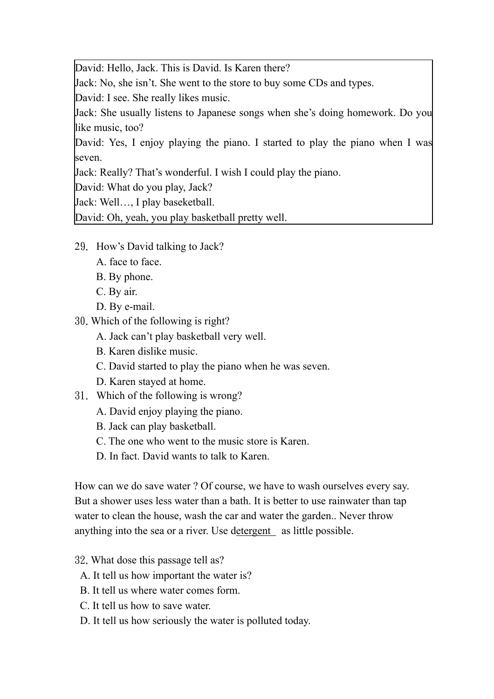David: Hello, Jack. This is David. Is Karen there?

Jack: No, she isn't. She went to the store to buy some CDs and types.

David: I see. She really likes music.

Jack: She usually listens to Japanese songs when she's doing homework. Do you like music, too?

David: Yes, I enjoy playing the piano. I started to play the piano when I was seven.

Jack: Really? That's wonderful. I wish I could play the piano.

David: What do you play, Jack?

Jack: Well…, I play baseketball.

David: Oh, yeah, you play basketball pretty well.

- 29. How's David talking to Jack?
	- A. face to face.
	- B. By phone.
	- C. By air.
	- D. By e-mail.
- 30.Which of the following is right?
	- A. Jack can't play basketball very well.
	- B. Karen dislike music.
	- C. David started to play the piano when he was seven.
	- D. Karen stayed at home.
- 31. Which of the following is wrong?
	- A. David enjoy playing the piano.
	- B. Jack can play basketball.
	- C. The one who went to the music store is Karen.
	- D. In fact. David wants to talk to Karen.

How can we do save water ? Of course, we have to wash ourselves every say. But a shower uses less water than a bath. It is better to use rainwater than tap water to clean the house, wash the car and water the garden.. Never throw anything into the sea or a river. Use detergent as little possible.

- 32.What dose this passage tell as?
	- A. It tell us how important the water is?
	- B. It tell us where water comes form.
	- C. It tell us how to save water.
	- D. It tell us how seriously the water is polluted today.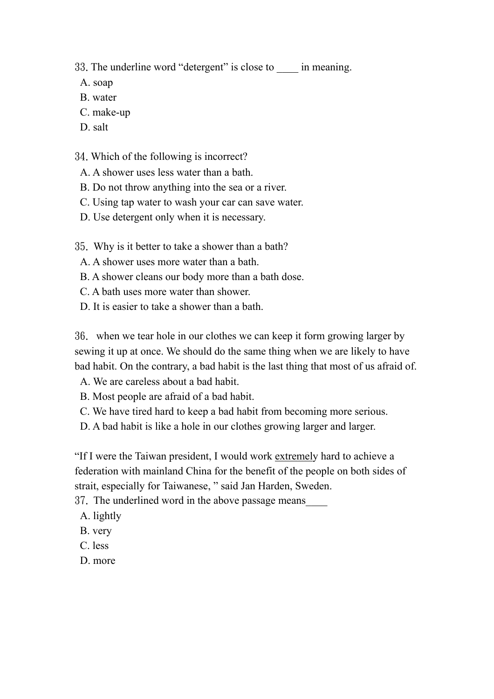33. The underline word "detergent" is close to \_\_\_\_ in meaning.

- A. soap
- B. water
- C. make-up
- D. salt

34.Which of the following is incorrect?

- A. A shower uses less water than a bath.
- B. Do not throw anything into the sea or a river.
- C. Using tap water to wash your car can save water.
- D. Use detergent only when it is necessary.
- 35. Why is it better to take a shower than a bath?
	- A. A shower uses more water than a bath.
	- B. A shower cleans our body more than a bath dose.
	- C. A bath uses more water than shower.
	- D. It is easier to take a shower than a bath.

36. when we tear hole in our clothes we can keep it form growing larger by sewing it up at once. We should do the same thing when we are likely to have bad habit. On the contrary, a bad habit is the last thing that most of us afraid of.

- A. We are careless about a bad habit.
- B. Most people are afraid of a bad habit.
- C. We have tired hard to keep a bad habit from becoming more serious.
- D. A bad habit is like a hole in our clothes growing larger and larger.

"If I were the Taiwan president, I would work extremely hard to achieve a federation with mainland China for the benefit of the people on both sides of strait, especially for Taiwanese, " said Jan Harden, Sweden.

37. The underlined word in the above passage means\_\_\_\_

- A. lightly
- B. very
- C. less
- D. more